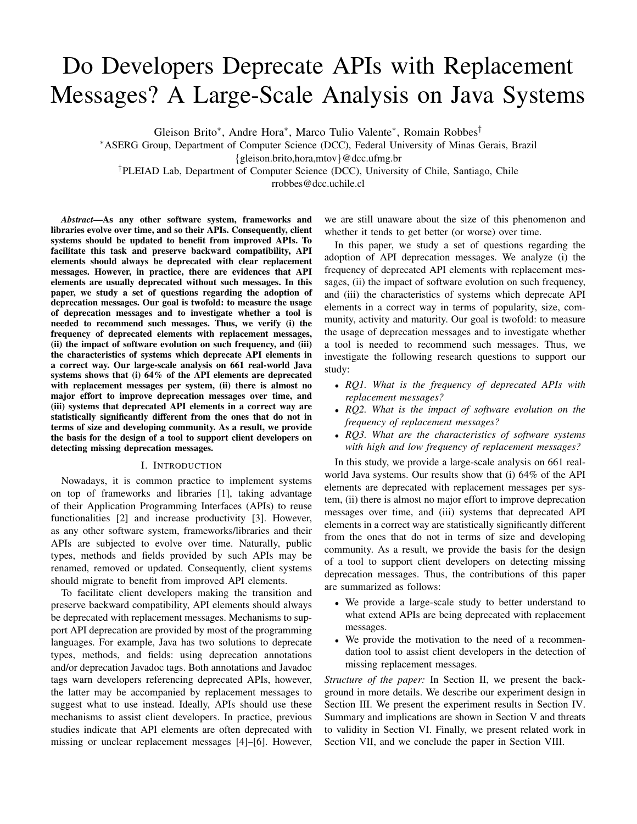# Do Developers Deprecate APIs with Replacement Messages? A Large-Scale Analysis on Java Systems

Gleison Brito<sup>∗</sup> , Andre Hora<sup>∗</sup> , Marco Tulio Valente<sup>∗</sup> , Romain Robbes†

<sup>∗</sup>ASERG Group, Department of Computer Science (DCC), Federal University of Minas Gerais, Brazil

{gleison.brito,hora,mtov}@dcc.ufmg.br

†PLEIAD Lab, Department of Computer Science (DCC), University of Chile, Santiago, Chile

rrobbes@dcc.uchile.cl

*Abstract*—As any other software system, frameworks and libraries evolve over time, and so their APIs. Consequently, client systems should be updated to benefit from improved APIs. To facilitate this task and preserve backward compatibility, API elements should always be deprecated with clear replacement messages. However, in practice, there are evidences that API elements are usually deprecated without such messages. In this paper, we study a set of questions regarding the adoption of deprecation messages. Our goal is twofold: to measure the usage of deprecation messages and to investigate whether a tool is needed to recommend such messages. Thus, we verify (i) the frequency of deprecated elements with replacement messages, (ii) the impact of software evolution on such frequency, and (iii) the characteristics of systems which deprecate API elements in a correct way. Our large-scale analysis on 661 real-world Java systems shows that (i) 64% of the API elements are deprecated with replacement messages per system, (ii) there is almost no major effort to improve deprecation messages over time, and (iii) systems that deprecated API elements in a correct way are statistically significantly different from the ones that do not in terms of size and developing community. As a result, we provide the basis for the design of a tool to support client developers on detecting missing deprecation messages.

#### I. INTRODUCTION

Nowadays, it is common practice to implement systems on top of frameworks and libraries [1], taking advantage of their Application Programming Interfaces (APIs) to reuse functionalities [2] and increase productivity [3]. However, as any other software system, frameworks/libraries and their APIs are subjected to evolve over time. Naturally, public types, methods and fields provided by such APIs may be renamed, removed or updated. Consequently, client systems should migrate to benefit from improved API elements.

To facilitate client developers making the transition and preserve backward compatibility, API elements should always be deprecated with replacement messages. Mechanisms to support API deprecation are provided by most of the programming languages. For example, Java has two solutions to deprecate types, methods, and fields: using deprecation annotations and/or deprecation Javadoc tags. Both annotations and Javadoc tags warn developers referencing deprecated APIs, however, the latter may be accompanied by replacement messages to suggest what to use instead. Ideally, APIs should use these mechanisms to assist client developers. In practice, previous studies indicate that API elements are often deprecated with missing or unclear replacement messages [4]–[6]. However, we are still unaware about the size of this phenomenon and whether it tends to get better (or worse) over time.

In this paper, we study a set of questions regarding the adoption of API deprecation messages. We analyze (i) the frequency of deprecated API elements with replacement messages, (ii) the impact of software evolution on such frequency, and (iii) the characteristics of systems which deprecate API elements in a correct way in terms of popularity, size, community, activity and maturity. Our goal is twofold: to measure the usage of deprecation messages and to investigate whether a tool is needed to recommend such messages. Thus, we investigate the following research questions to support our study:

- *RQ1. What is the frequency of deprecated APIs with replacement messages?*
- *RQ2. What is the impact of software evolution on the frequency of replacement messages?*
- *RQ3. What are the characteristics of software systems with high and low frequency of replacement messages?*

In this study, we provide a large-scale analysis on 661 realworld Java systems. Our results show that (i) 64% of the API elements are deprecated with replacement messages per system, (ii) there is almost no major effort to improve deprecation messages over time, and (iii) systems that deprecated API elements in a correct way are statistically significantly different from the ones that do not in terms of size and developing community. As a result, we provide the basis for the design of a tool to support client developers on detecting missing deprecation messages. Thus, the contributions of this paper are summarized as follows:

- We provide a large-scale study to better understand to what extend APIs are being deprecated with replacement messages.
- We provide the motivation to the need of a recommendation tool to assist client developers in the detection of missing replacement messages.

*Structure of the paper:* In Section II, we present the background in more details. We describe our experiment design in Section III. We present the experiment results in Section IV. Summary and implications are shown in Section V and threats to validity in Section VI. Finally, we present related work in Section VII, and we conclude the paper in Section VIII.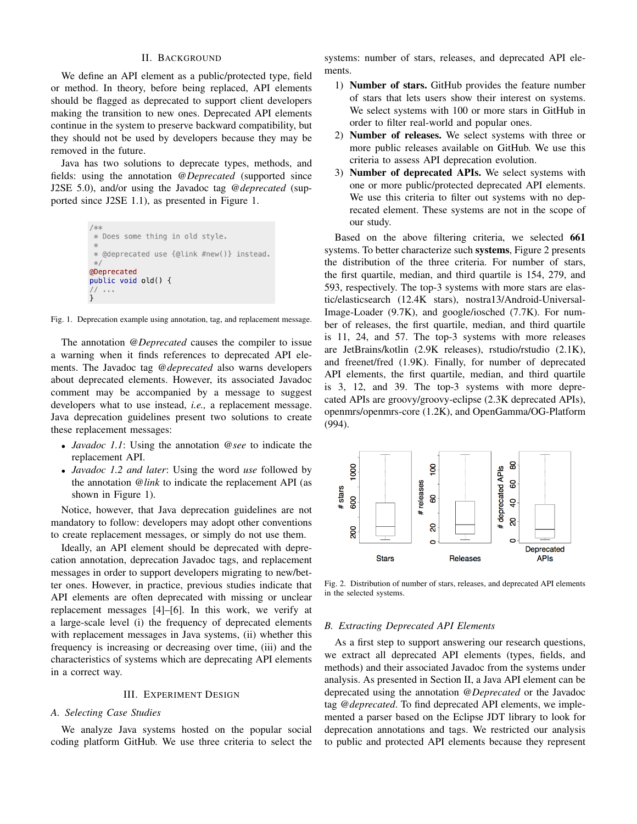## II. BACKGROUND

We define an API element as a public/protected type, field or method. In theory, before being replaced, API elements should be flagged as deprecated to support client developers making the transition to new ones. Deprecated API elements continue in the system to preserve backward compatibility, but they should not be used by developers because they may be removed in the future.

Java has two solutions to deprecate types, methods, and fields: using the annotation *@Deprecated* (supported since J2SE 5.0), and/or using the Javadoc tag *@deprecated* (supported since J2SE 1.1), as presented in Figure 1.

```
/**
* Does some thing in old style.
 * @deprecated use {@link #new()} instead.
\ast/@Deprecated
public void old() {
   \sim \sim}
```


The annotation *@Deprecated* causes the compiler to issue a warning when it finds references to deprecated API elements. The Javadoc tag *@deprecated* also warns developers about deprecated elements. However, its associated Javadoc comment may be accompanied by a message to suggest developers what to use instead, *i.e.,* a replacement message. Java deprecation guidelines present two solutions to create these replacement messages:

- *Javadoc 1.1*: Using the annotation *@see* to indicate the replacement API.
- *Javadoc 1.2 and later*: Using the word *use* followed by the annotation *@link* to indicate the replacement API (as shown in Figure 1).

Notice, however, that Java deprecation guidelines are not mandatory to follow: developers may adopt other conventions to create replacement messages, or simply do not use them.

Ideally, an API element should be deprecated with deprecation annotation, deprecation Javadoc tags, and replacement messages in order to support developers migrating to new/better ones. However, in practice, previous studies indicate that API elements are often deprecated with missing or unclear replacement messages [4]–[6]. In this work, we verify at a large-scale level (i) the frequency of deprecated elements with replacement messages in Java systems, (ii) whether this frequency is increasing or decreasing over time, (iii) and the characteristics of systems which are deprecating API elements in a correct way.

### III. EXPERIMENT DESIGN

#### *A. Selecting Case Studies*

We analyze Java systems hosted on the popular social coding platform GitHub. We use three criteria to select the systems: number of stars, releases, and deprecated API elements.

- 1) Number of stars. GitHub provides the feature number of stars that lets users show their interest on systems. We select systems with 100 or more stars in GitHub in order to filter real-world and popular ones.
- 2) Number of releases. We select systems with three or more public releases available on GitHub. We use this criteria to assess API deprecation evolution.
- 3) Number of deprecated APIs. We select systems with one or more public/protected deprecated API elements. We use this criteria to filter out systems with no deprecated element. These systems are not in the scope of our study.

Based on the above filtering criteria, we selected 661 systems. To better characterize such systems, Figure 2 presents the distribution of the three criteria. For number of stars, the first quartile, median, and third quartile is 154, 279, and 593, respectively. The top-3 systems with more stars are elastic/elasticsearch (12.4K stars), nostra13/Android-Universal-Image-Loader (9.7K), and google/iosched (7.7K). For number of releases, the first quartile, median, and third quartile is 11, 24, and 57. The top-3 systems with more releases are JetBrains/kotlin (2.9K releases), rstudio/rstudio (2.1K), and freenet/fred (1.9K). Finally, for number of deprecated API elements, the first quartile, median, and third quartile is 3, 12, and 39. The top-3 systems with more deprecated APIs are groovy/groovy-eclipse (2.3K deprecated APIs), openmrs/openmrs-core (1.2K), and OpenGamma/OG-Platform (994).



Fig. 2. Distribution of number of stars, releases, and deprecated API elements in the selected systems.

#### *B. Extracting Deprecated API Elements*

As a first step to support answering our research questions, we extract all deprecated API elements (types, fields, and methods) and their associated Javadoc from the systems under analysis. As presented in Section II, a Java API element can be deprecated using the annotation *@Deprecated* or the Javadoc tag *@deprecated*. To find deprecated API elements, we implemented a parser based on the Eclipse JDT library to look for deprecation annotations and tags. We restricted our analysis to public and protected API elements because they represent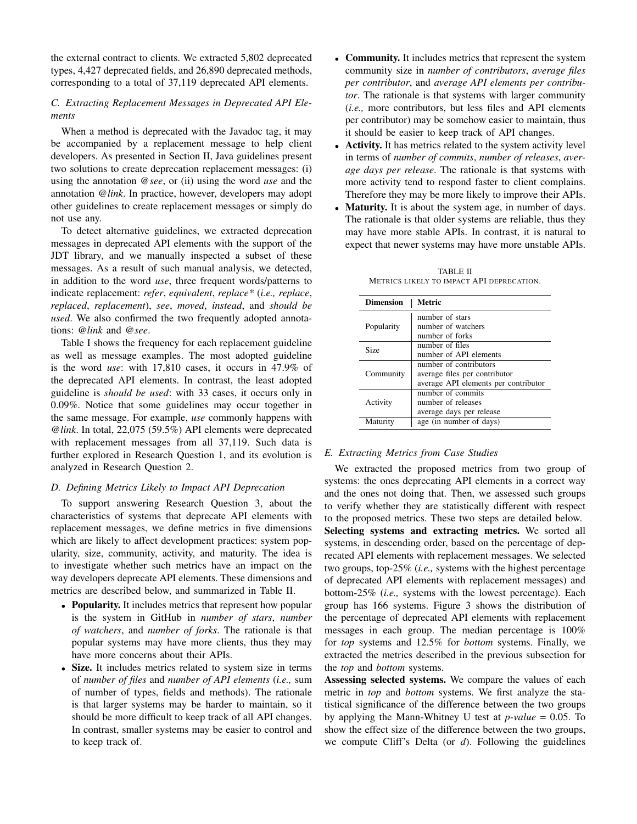the external contract to clients. We extracted 5,802 deprecated types, 4,427 deprecated fields, and 26,890 deprecated methods, corresponding to a total of 37,119 deprecated API elements.

# *C. Extracting Replacement Messages in Deprecated API Elements*

When a method is deprecated with the Javadoc tag, it may be accompanied by a replacement message to help client developers. As presented in Section II, Java guidelines present two solutions to create deprecation replacement messages: (i) using the annotation *@see*, or (ii) using the word *use* and the annotation *@link*. In practice, however, developers may adopt other guidelines to create replacement messages or simply do not use any.

To detect alternative guidelines, we extracted deprecation messages in deprecated API elements with the support of the JDT library, and we manually inspected a subset of these messages. As a result of such manual analysis, we detected, in addition to the word *use*, three frequent words/patterns to indicate replacement: *refer*, *equivalent*, *replace\** (*i.e., replace*, *replaced*, *replacement*), *see*, *moved*, *instead*, and *should be used*. We also confirmed the two frequently adopted annotations: *@link* and *@see*.

Table I shows the frequency for each replacement guideline as well as message examples. The most adopted guideline is the word *use*: with 17,810 cases, it occurs in 47.9% of the deprecated API elements. In contrast, the least adopted guideline is *should be used*: with 33 cases, it occurs only in 0.09%. Notice that some guidelines may occur together in the same message. For example, *use* commonly happens with *@link*. In total, 22,075 (59.5%) API elements were deprecated with replacement messages from all 37,119. Such data is further explored in Research Question 1, and its evolution is analyzed in Research Question 2.

## *D. Defining Metrics Likely to Impact API Deprecation*

To support answering Research Question 3, about the characteristics of systems that deprecate API elements with replacement messages, we define metrics in five dimensions which are likely to affect development practices: system popularity, size, community, activity, and maturity. The idea is to investigate whether such metrics have an impact on the way developers deprecate API elements. These dimensions and metrics are described below, and summarized in Table II.

- Popularity. It includes metrics that represent how popular is the system in GitHub in *number of stars*, *number of watchers*, and *number of forks*. The rationale is that popular systems may have more clients, thus they may have more concerns about their APIs.
- Size. It includes metrics related to system size in terms of *number of files* and *number of API elements* (*i.e.,* sum of number of types, fields and methods). The rationale is that larger systems may be harder to maintain, so it should be more difficult to keep track of all API changes. In contrast, smaller systems may be easier to control and to keep track of.
- Community. It includes metrics that represent the system community size in *number of contributors*, *average files per contributor*, and *average API elements per contributor*. The rationale is that systems with larger community (*i.e.,* more contributors, but less files and API elements per contributor) may be somehow easier to maintain, thus it should be easier to keep track of API changes.
- **Activity.** It has metrics related to the system activity level in terms of *number of commits*, *number of releases*, *average days per release*. The rationale is that systems with more activity tend to respond faster to client complains. Therefore they may be more likely to improve their APIs.
- Maturity. It is about the system age, in number of days. The rationale is that older systems are reliable, thus they may have more stable APIs. In contrast, it is natural to expect that newer systems may have more unstable APIs.

| <b>Dimension</b> | Metric                               |
|------------------|--------------------------------------|
| Popularity       | number of stars                      |
|                  | number of watchers                   |
|                  | number of forks                      |
| Size             | number of files                      |
|                  | number of API elements               |
|                  | number of contributors               |
| Community        | average files per contributor        |
|                  | average API elements per contributor |
| Activity         | number of commits                    |
|                  | number of releases                   |
|                  | average days per release             |
| Maturitv         | age (in number of days)              |

TABLE II METRICS LIKELY TO IMPACT API DEPRECATION.

# *E. Extracting Metrics from Case Studies*

We extracted the proposed metrics from two group of systems: the ones deprecating API elements in a correct way and the ones not doing that. Then, we assessed such groups to verify whether they are statistically different with respect to the proposed metrics. These two steps are detailed below. Selecting systems and extracting metrics. We sorted all systems, in descending order, based on the percentage of deprecated API elements with replacement messages. We selected two groups, top-25% (*i.e.,* systems with the highest percentage of deprecated API elements with replacement messages) and bottom-25% (*i.e.,* systems with the lowest percentage). Each group has 166 systems. Figure 3 shows the distribution of the percentage of deprecated API elements with replacement messages in each group. The median percentage is 100% for *top* systems and 12.5% for *bottom* systems. Finally, we extracted the metrics described in the previous subsection for the *top* and *bottom* systems.

Assessing selected systems. We compare the values of each metric in *top* and *bottom* systems. We first analyze the statistical significance of the difference between the two groups by applying the Mann-Whitney U test at *p-value* = 0.05. To show the effect size of the difference between the two groups, we compute Cliff's Delta (or *d*). Following the guidelines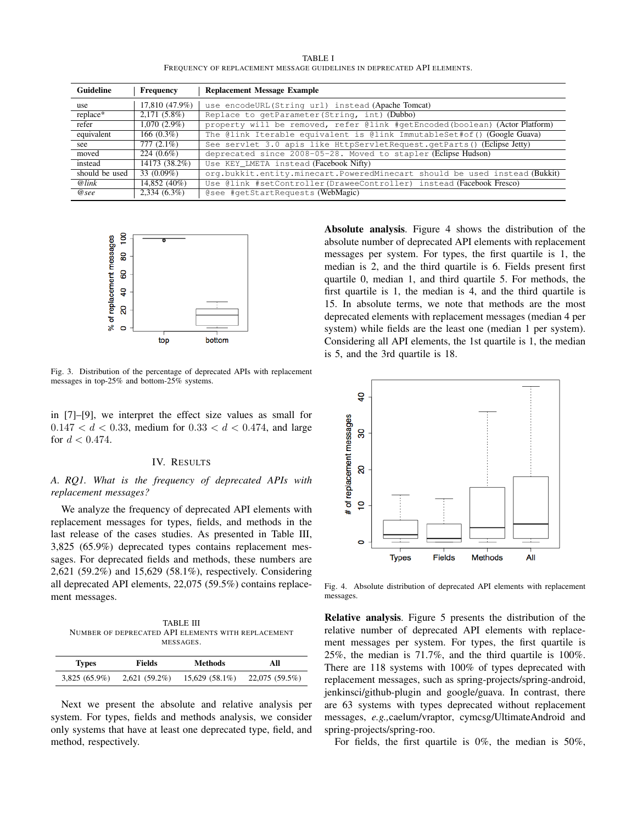| <b>TABLE I</b>                                                          |  |
|-------------------------------------------------------------------------|--|
| FREQUENCY OF REPLACEMENT MESSAGE GUIDELINES IN DEPRECATED API ELEMENTS. |  |

| <b>Guideline</b> | <b>Frequency</b> | <b>Replacement Message Example</b>                                          |
|------------------|------------------|-----------------------------------------------------------------------------|
| use              | 17,810 (47.9%)   | use encodeURL(String url) instead (Apache Tomcat)                           |
| replace*         | $2,171(5.8\%)$   | Replace to getParameter (String, int) (Dubbo)                               |
| refer            | $1,070(2.9\%)$   | property will be removed, refer @link #qetEncoded(boolean) (Actor Platform) |
| equivalent       | $166(0.3\%)$     | The @link Iterable equivalent is @link ImmutableSet#of() (Google Guava)     |
| see              | $777(2.1\%)$     | See servlet 3.0 apis like HttpServletRequest.getParts() (Eclipse Jetty)     |
| moved            | 224 $(0.6\%)$    | deprecated since 2008-05-28. Moved to stapler (Eclipse Hudson)              |
| instead          | 14173 (38.2%)    | Use KEY_LMETA instead (Facebook Nifty)                                      |
| should be used   | 33 $(0.09\%)$    | org.bukkit.entity.minecart.PoweredMinecart should be used instead (Bukkit)  |
| @ link           | 14,852 (40%)     | Use @link #setController(DraweeController) instead (Facebook Fresco)        |
| @see             | $2,334(6.3\%)$   | @see #getStartRequests (WebMagic)                                           |



Fig. 3. Distribution of the percentage of deprecated APIs with replacement messages in top-25% and bottom-25% systems.

in [7]–[9], we interpret the effect size values as small for  $0.147 < d < 0.33$ , medium for  $0.33 < d < 0.474$ , and large for  $d < 0.474$ .

# IV. RESULTS

# *A. RQ1. What is the frequency of deprecated APIs with replacement messages?*

We analyze the frequency of deprecated API elements with replacement messages for types, fields, and methods in the last release of the cases studies. As presented in Table III, 3,825 (65.9%) deprecated types contains replacement messages. For deprecated fields and methods, these numbers are 2,621 (59.2%) and 15,629 (58.1%), respectively. Considering all deprecated API elements, 22,075 (59.5%) contains replacement messages.

| TABLE III                                          |
|----------------------------------------------------|
| NUMBER OF DEPRECATED API ELEMENTS WITH REPLACEMENT |
| MESSAGES.                                          |

| <b>Types</b>    | <b>Fields</b>   | Methods             | All            |
|-----------------|-----------------|---------------------|----------------|
| $3,825(65.9\%)$ | $2,621(59.2\%)$ | $15,629$ $(58.1\%)$ | 22,075 (59.5%) |

Next we present the absolute and relative analysis per system. For types, fields and methods analysis, we consider only systems that have at least one deprecated type, field, and method, respectively.

Absolute analysis. Figure 4 shows the distribution of the absolute number of deprecated API elements with replacement messages per system. For types, the first quartile is 1, the median is 2, and the third quartile is 6. Fields present first quartile 0, median 1, and third quartile 5. For methods, the first quartile is 1, the median is 4, and the third quartile is 15. In absolute terms, we note that methods are the most deprecated elements with replacement messages (median 4 per system) while fields are the least one (median 1 per system). Considering all API elements, the 1st quartile is 1, the median is 5, and the 3rd quartile is 18.



Fig. 4. Absolute distribution of deprecated API elements with replacement messages.

Relative analysis. Figure 5 presents the distribution of the relative number of deprecated API elements with replacement messages per system. For types, the first quartile is 25%, the median is 71.7%, and the third quartile is 100%. There are 118 systems with 100% of types deprecated with replacement messages, such as spring-projects/spring-android, jenkinsci/github-plugin and google/guava. In contrast, there are 63 systems with types deprecated without replacement messages, *e.g.,*caelum/vraptor, cymcsg/UltimateAndroid and spring-projects/spring-roo.

For fields, the first quartile is 0%, the median is 50%,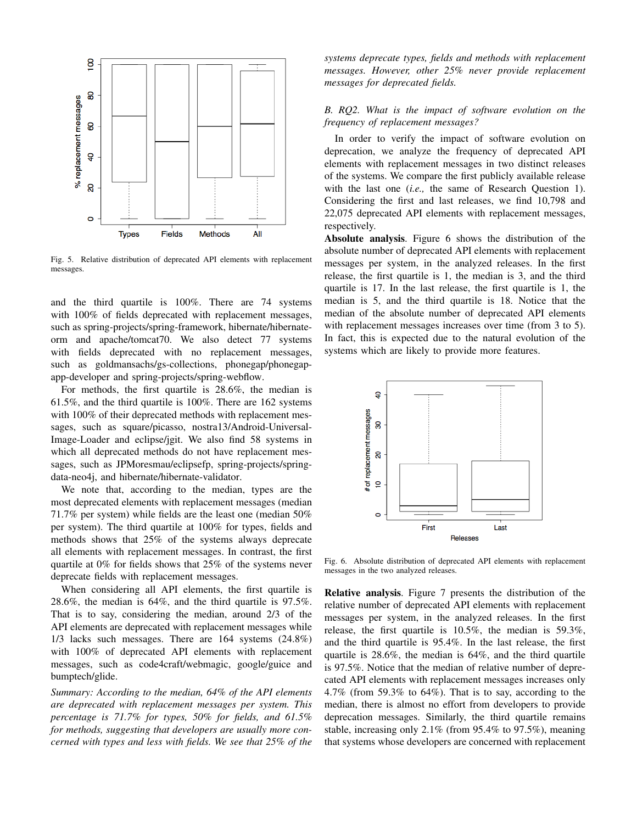

Fig. 5. Relative distribution of deprecated API elements with replacement messages.

and the third quartile is 100%. There are 74 systems with 100% of fields deprecated with replacement messages, such as spring-projects/spring-framework, hibernate/hibernateorm and apache/tomcat70. We also detect 77 systems with fields deprecated with no replacement messages, such as goldmansachs/gs-collections, phonegap/phonegapapp-developer and spring-projects/spring-webflow.

For methods, the first quartile is 28.6%, the median is 61.5%, and the third quartile is 100%. There are 162 systems with 100% of their deprecated methods with replacement messages, such as square/picasso, nostra13/Android-Universal-Image-Loader and eclipse/jgit. We also find 58 systems in which all deprecated methods do not have replacement messages, such as JPMoresmau/eclipsefp, spring-projects/springdata-neo4j, and hibernate/hibernate-validator.

We note that, according to the median, types are the most deprecated elements with replacement messages (median 71.7% per system) while fields are the least one (median 50% per system). The third quartile at 100% for types, fields and methods shows that 25% of the systems always deprecate all elements with replacement messages. In contrast, the first quartile at 0% for fields shows that 25% of the systems never deprecate fields with replacement messages.

When considering all API elements, the first quartile is 28.6%, the median is 64%, and the third quartile is 97.5%. That is to say, considering the median, around 2/3 of the API elements are deprecated with replacement messages while 1/3 lacks such messages. There are 164 systems (24.8%) with 100% of deprecated API elements with replacement messages, such as code4craft/webmagic, google/guice and bumptech/glide.

*Summary: According to the median, 64% of the API elements are deprecated with replacement messages per system. This percentage is 71.7% for types, 50% for fields, and 61.5% for methods, suggesting that developers are usually more concerned with types and less with fields. We see that 25% of the*

*systems deprecate types, fields and methods with replacement messages. However, other 25% never provide replacement messages for deprecated fields.*

# *B. RQ2. What is the impact of software evolution on the frequency of replacement messages?*

In order to verify the impact of software evolution on deprecation, we analyze the frequency of deprecated API elements with replacement messages in two distinct releases of the systems. We compare the first publicly available release with the last one (*i.e.,* the same of Research Question 1). Considering the first and last releases, we find 10,798 and 22,075 deprecated API elements with replacement messages, respectively.

Absolute analysis. Figure 6 shows the distribution of the absolute number of deprecated API elements with replacement messages per system, in the analyzed releases. In the first release, the first quartile is 1, the median is 3, and the third quartile is 17. In the last release, the first quartile is 1, the median is 5, and the third quartile is 18. Notice that the median of the absolute number of deprecated API elements with replacement messages increases over time (from 3 to 5). In fact, this is expected due to the natural evolution of the systems which are likely to provide more features.



Fig. 6. Absolute distribution of deprecated API elements with replacement messages in the two analyzed releases.

Relative analysis. Figure 7 presents the distribution of the relative number of deprecated API elements with replacement messages per system, in the analyzed releases. In the first release, the first quartile is 10.5%, the median is 59.3%, and the third quartile is 95.4%. In the last release, the first quartile is 28.6%, the median is 64%, and the third quartile is 97.5%. Notice that the median of relative number of deprecated API elements with replacement messages increases only 4.7% (from 59.3% to 64%). That is to say, according to the median, there is almost no effort from developers to provide deprecation messages. Similarly, the third quartile remains stable, increasing only 2.1% (from 95.4% to 97.5%), meaning that systems whose developers are concerned with replacement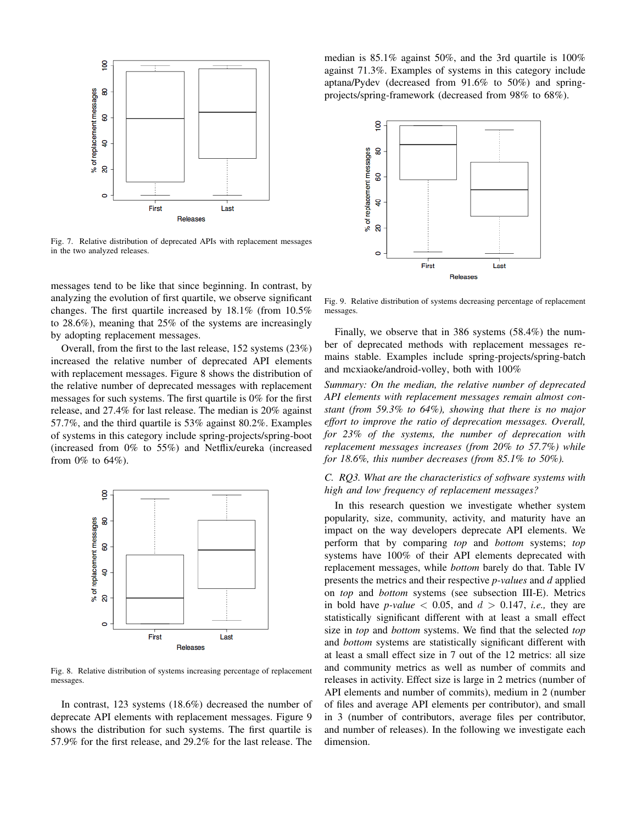

Fig. 7. Relative distribution of deprecated APIs with replacement messages in the two analyzed releases.

messages tend to be like that since beginning. In contrast, by analyzing the evolution of first quartile, we observe significant changes. The first quartile increased by 18.1% (from 10.5% to 28.6%), meaning that 25% of the systems are increasingly by adopting replacement messages.

Overall, from the first to the last release, 152 systems (23%) increased the relative number of deprecated API elements with replacement messages. Figure 8 shows the distribution of the relative number of deprecated messages with replacement messages for such systems. The first quartile is 0% for the first release, and 27.4% for last release. The median is 20% against 57.7%, and the third quartile is 53% against 80.2%. Examples of systems in this category include spring-projects/spring-boot (increased from 0% to 55%) and Netflix/eureka (increased from  $0\%$  to  $64\%$ ).



Fig. 8. Relative distribution of systems increasing percentage of replacement messages.

In contrast, 123 systems (18.6%) decreased the number of deprecate API elements with replacement messages. Figure 9 shows the distribution for such systems. The first quartile is 57.9% for the first release, and 29.2% for the last release. The median is 85.1% against 50%, and the 3rd quartile is 100% against 71.3%. Examples of systems in this category include aptana/Pydev (decreased from 91.6% to 50%) and springprojects/spring-framework (decreased from 98% to 68%).



Fig. 9. Relative distribution of systems decreasing percentage of replacement messages.

Finally, we observe that in 386 systems (58.4%) the number of deprecated methods with replacement messages remains stable. Examples include spring-projects/spring-batch and mcxiaoke/android-volley, both with 100%

*Summary: On the median, the relative number of deprecated API elements with replacement messages remain almost constant (from 59.3% to 64%), showing that there is no major effort to improve the ratio of deprecation messages. Overall, for 23% of the systems, the number of deprecation with replacement messages increases (from 20% to 57.7%) while for 18.6%, this number decreases (from 85.1% to 50%).*

# *C. RQ3. What are the characteristics of software systems with high and low frequency of replacement messages?*

In this research question we investigate whether system popularity, size, community, activity, and maturity have an impact on the way developers deprecate API elements. We perform that by comparing *top* and *bottom* systems; *top* systems have 100% of their API elements deprecated with replacement messages, while *bottom* barely do that. Table IV presents the metrics and their respective *p-values* and *d* applied on *top* and *bottom* systems (see subsection III-E). Metrics in bold have  $p$ -value  $\lt$  0.05, and  $d > 0.147$ , *i.e.*, they are statistically significant different with at least a small effect size in *top* and *bottom* systems. We find that the selected *top* and *bottom* systems are statistically significant different with at least a small effect size in 7 out of the 12 metrics: all size and community metrics as well as number of commits and releases in activity. Effect size is large in 2 metrics (number of API elements and number of commits), medium in 2 (number of files and average API elements per contributor), and small in 3 (number of contributors, average files per contributor, and number of releases). In the following we investigate each dimension.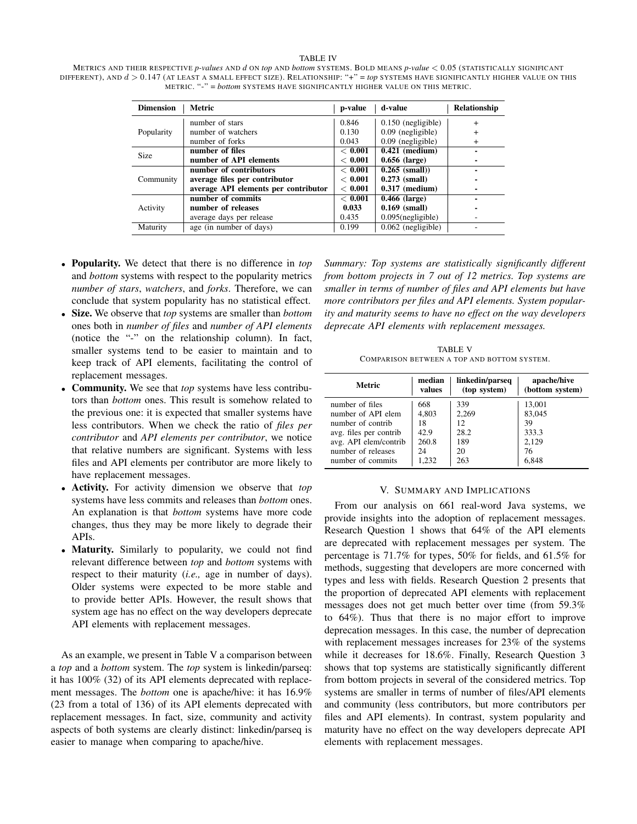#### TABLE IV

METRICS AND THEIR RESPECTIVE *p-values* AND *d* ON *top* AND *bottom* SYSTEMS. BOLD MEANS *p-value* < 0.05 (STATISTICALLY SIGNIFICANT DIFFERENT), AND d > 0.147 (AT LEAST A SMALL EFFECT SIZE). RELATIONSHIP: "+" = *top* SYSTEMS HAVE SIGNIFICANTLY HIGHER VALUE ON THIS METRIC. "-" = *bottom* SYSTEMS HAVE SIGNIFICANTLY HIGHER VALUE ON THIS METRIC.

| <b>Dimension</b> | Metric                               | p-value              | d-value              | <b>Relationship</b> |
|------------------|--------------------------------------|----------------------|----------------------|---------------------|
| Popularity       | number of stars                      | 0.846                | $0.150$ (negligible) | $+$                 |
|                  | number of watchers                   | 0.130                | $0.09$ (negligible)  | $+$                 |
|                  | number of forks                      | 0.043                | 0.09 (negligible)    | $+$                 |
| <b>Size</b>      | number of files                      | $\overline{< 0.001}$ | $0.421$ (medium)     |                     |
|                  | number of API elements               | < 0.001              | $0.656$ (large)      |                     |
|                  | number of contributors               | $\overline{<}$ 0.001 | $0.265$ (small))     |                     |
| Community        | average files per contributor        | < 0.001              | $0.273$ (small)      |                     |
|                  | average API elements per contributor | < 0.001              | $0.317$ (medium)     |                     |
|                  | number of commits                    | < 0.001              | $0.466$ (large)      |                     |
| Activity         | number of releases                   | 0.033                | $0.169$ (small)      |                     |
|                  | average days per release             | 0.435                | $0.095$ (negligible) |                     |
| Maturity         | age (in number of days)              | 0.199                | $0.062$ (negligible) |                     |

- Popularity. We detect that there is no difference in *top* and *bottom* systems with respect to the popularity metrics *number of stars*, *watchers*, and *forks*. Therefore, we can conclude that system popularity has no statistical effect.
- Size. We observe that *top* systems are smaller than *bottom* ones both in *number of files* and *number of API elements* (notice the "-" on the relationship column). In fact, smaller systems tend to be easier to maintain and to keep track of API elements, facilitating the control of replacement messages.
- Community. We see that *top* systems have less contributors than *bottom* ones. This result is somehow related to the previous one: it is expected that smaller systems have less contributors. When we check the ratio of *files per contributor* and *API elements per contributor*, we notice that relative numbers are significant. Systems with less files and API elements per contributor are more likely to have replacement messages.
- Activity. For activity dimension we observe that *top* systems have less commits and releases than *bottom* ones. An explanation is that *bottom* systems have more code changes, thus they may be more likely to degrade their APIs.
- Maturity. Similarly to popularity, we could not find relevant difference between *top* and *bottom* systems with respect to their maturity (*i.e.,* age in number of days). Older systems were expected to be more stable and to provide better APIs. However, the result shows that system age has no effect on the way developers deprecate API elements with replacement messages.

As an example, we present in Table V a comparison between a *top* and a *bottom* system. The *top* system is linkedin/parseq: it has 100% (32) of its API elements deprecated with replacement messages. The *bottom* one is apache/hive: it has 16.9% (23 from a total of 136) of its API elements deprecated with replacement messages. In fact, size, community and activity aspects of both systems are clearly distinct: linkedin/parseq is easier to manage when comparing to apache/hive.

*Summary: Top systems are statistically significantly different from bottom projects in 7 out of 12 metrics. Top systems are smaller in terms of number of files and API elements but have more contributors per files and API elements. System popularity and maturity seems to have no effect on the way developers deprecate API elements with replacement messages.*

TABLE V COMPARISON BETWEEN A TOP AND BOTTOM SYSTEM.

| Metric                 | median<br>values | linkedin/parseq<br>(top system) | apache/hive<br>(bottom system) |
|------------------------|------------------|---------------------------------|--------------------------------|
| number of files        | 668              | 339                             | 13,001                         |
| number of API elem     | 4,803            | 2,269                           | 83,045                         |
| number of contrib      | 18               | 12                              | 39                             |
| avg. files per contrib | 42.9             | 28.2                            | 333.3                          |
| avg. API elem/contrib  | 260.8            | 189                             | 2,129                          |
| number of releases     | 24               | 20                              | 76                             |
| number of commits      | 1.232            | 263                             | 6,848                          |

#### V. SUMMARY AND IMPLICATIONS

From our analysis on 661 real-word Java systems, we provide insights into the adoption of replacement messages. Research Question 1 shows that 64% of the API elements are deprecated with replacement messages per system. The percentage is 71.7% for types, 50% for fields, and 61.5% for methods, suggesting that developers are more concerned with types and less with fields. Research Question 2 presents that the proportion of deprecated API elements with replacement messages does not get much better over time (from 59.3% to 64%). Thus that there is no major effort to improve deprecation messages. In this case, the number of deprecation with replacement messages increases for 23% of the systems while it decreases for 18.6%. Finally, Research Question 3 shows that top systems are statistically significantly different from bottom projects in several of the considered metrics. Top systems are smaller in terms of number of files/API elements and community (less contributors, but more contributors per files and API elements). In contrast, system popularity and maturity have no effect on the way developers deprecate API elements with replacement messages.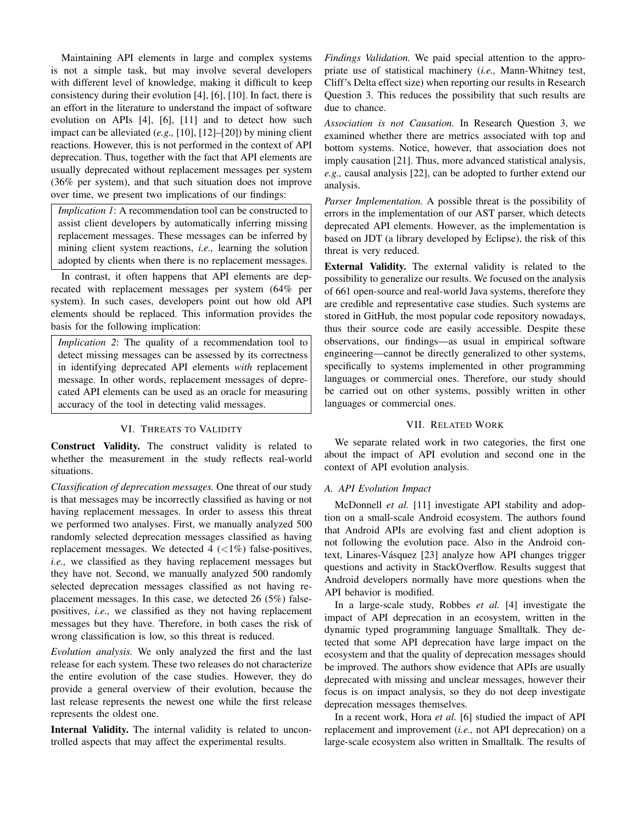Maintaining API elements in large and complex systems is not a simple task, but may involve several developers with different level of knowledge, making it difficult to keep consistency during their evolution [4], [6], [10]. In fact, there is an effort in the literature to understand the impact of software evolution on APIs [4], [6], [11] and to detect how such impact can be alleviated (*e.g.,* [10], [12]–[20]) by mining client reactions. However, this is not performed in the context of API deprecation. Thus, together with the fact that API elements are usually deprecated without replacement messages per system (36% per system), and that such situation does not improve over time, we present two implications of our findings:

*Implication 1*: A recommendation tool can be constructed to assist client developers by automatically inferring missing replacement messages. These messages can be inferred by mining client system reactions, *i.e.,* learning the solution adopted by clients when there is no replacement messages.

In contrast, it often happens that API elements are deprecated with replacement messages per system (64% per system). In such cases, developers point out how old API elements should be replaced. This information provides the basis for the following implication:

*Implication 2*: The quality of a recommendation tool to detect missing messages can be assessed by its correctness in identifying deprecated API elements *with* replacement message. In other words, replacement messages of deprecated API elements can be used as an oracle for measuring accuracy of the tool in detecting valid messages.

# VI. THREATS TO VALIDITY

Construct Validity. The construct validity is related to whether the measurement in the study reflects real-world situations.

*Classification of deprecation messages.* One threat of our study is that messages may be incorrectly classified as having or not having replacement messages. In order to assess this threat we performed two analyses. First, we manually analyzed 500 randomly selected deprecation messages classified as having replacement messages. We detected  $4 \left( \langle 1\% \rangle \right)$  false-positives, *i.e.,* we classified as they having replacement messages but they have not. Second, we manually analyzed 500 randomly selected deprecation messages classified as not having replacement messages. In this case, we detected 26 (5%) falsepositives, *i.e.,* we classified as they not having replacement messages but they have. Therefore, in both cases the risk of wrong classification is low, so this threat is reduced.

*Evolution analysis.* We only analyzed the first and the last release for each system. These two releases do not characterize the entire evolution of the case studies. However, they do provide a general overview of their evolution, because the last release represents the newest one while the first release represents the oldest one.

Internal Validity. The internal validity is related to uncontrolled aspects that may affect the experimental results.

*Findings Validation.* We paid special attention to the appropriate use of statistical machinery (*i.e.,* Mann-Whitney test, Cliff's Delta effect size) when reporting our results in Research Question 3. This reduces the possibility that such results are due to chance.

*Association is not Causation.* In Research Question 3, we examined whether there are metrics associated with top and bottom systems. Notice, however, that association does not imply causation [21]. Thus, more advanced statistical analysis, *e.g.,* causal analysis [22], can be adopted to further extend our analysis.

*Parser Implementation.* A possible threat is the possibility of errors in the implementation of our AST parser, which detects deprecated API elements. However, as the implementation is based on JDT (a library developed by Eclipse), the risk of this threat is very reduced.

External Validity. The external validity is related to the possibility to generalize our results. We focused on the analysis of 661 open-source and real-world Java systems, therefore they are credible and representative case studies. Such systems are stored in GitHub, the most popular code repository nowadays, thus their source code are easily accessible. Despite these observations, our findings—as usual in empirical software engineering—cannot be directly generalized to other systems, specifically to systems implemented in other programming languages or commercial ones. Therefore, our study should be carried out on other systems, possibly written in other languages or commercial ones.

## VII. RELATED WORK

We separate related work in two categories, the first one about the impact of API evolution and second one in the context of API evolution analysis.

## *A. API Evolution Impact*

McDonnell *et al.* [11] investigate API stability and adoption on a small-scale Android ecosystem. The authors found that Android APIs are evolving fast and client adoption is not following the evolution pace. Also in the Android context, Linares-Vásquez [23] analyze how API changes trigger questions and activity in StackOverflow. Results suggest that Android developers normally have more questions when the API behavior is modified.

In a large-scale study, Robbes *et al.* [4] investigate the impact of API deprecation in an ecosystem, written in the dynamic typed programming language Smalltalk. They detected that some API deprecation have large impact on the ecosystem and that the quality of deprecation messages should be improved. The authors show evidence that APIs are usually deprecated with missing and unclear messages, however their focus is on impact analysis, so they do not deep investigate deprecation messages themselves.

In a recent work, Hora *et al.* [6] studied the impact of API replacement and improvement (*i.e.,* not API deprecation) on a large-scale ecosystem also written in Smalltalk. The results of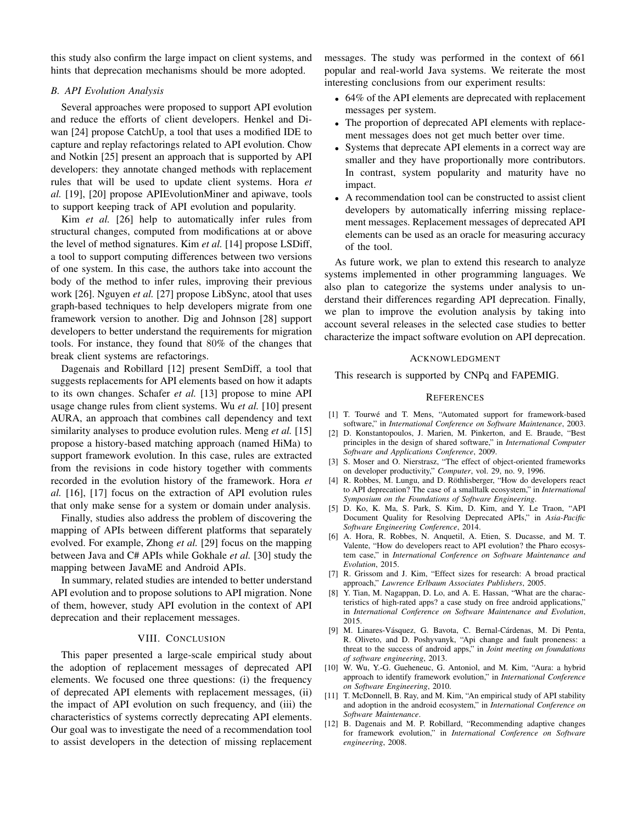this study also confirm the large impact on client systems, and hints that deprecation mechanisms should be more adopted.

## *B. API Evolution Analysis*

Several approaches were proposed to support API evolution and reduce the efforts of client developers. Henkel and Diwan [24] propose CatchUp, a tool that uses a modified IDE to capture and replay refactorings related to API evolution. Chow and Notkin [25] present an approach that is supported by API developers: they annotate changed methods with replacement rules that will be used to update client systems. Hora *et al.* [19], [20] propose APIEvolutionMiner and apiwave, tools to support keeping track of API evolution and popularity.

Kim *et al.* [26] help to automatically infer rules from structural changes, computed from modifications at or above the level of method signatures. Kim *et al.* [14] propose LSDiff, a tool to support computing differences between two versions of one system. In this case, the authors take into account the body of the method to infer rules, improving their previous work [26]. Nguyen *et al.* [27] propose LibSync, atool that uses graph-based techniques to help developers migrate from one framework version to another. Dig and Johnson [28] support developers to better understand the requirements for migration tools. For instance, they found that 80% of the changes that break client systems are refactorings.

Dagenais and Robillard [12] present SemDiff, a tool that suggests replacements for API elements based on how it adapts to its own changes. Schafer *et al.* [13] propose to mine API usage change rules from client systems. Wu *et al.* [10] present AURA, an approach that combines call dependency and text similarity analyses to produce evolution rules. Meng *et al.* [15] propose a history-based matching approach (named HiMa) to support framework evolution. In this case, rules are extracted from the revisions in code history together with comments recorded in the evolution history of the framework. Hora *et al.* [16], [17] focus on the extraction of API evolution rules that only make sense for a system or domain under analysis.

Finally, studies also address the problem of discovering the mapping of APIs between different platforms that separately evolved. For example, Zhong *et al.* [29] focus on the mapping between Java and C# APIs while Gokhale *et al.* [30] study the mapping between JavaME and Android APIs.

In summary, related studies are intended to better understand API evolution and to propose solutions to API migration. None of them, however, study API evolution in the context of API deprecation and their replacement messages.

# VIII. CONCLUSION

This paper presented a large-scale empirical study about the adoption of replacement messages of deprecated API elements. We focused one three questions: (i) the frequency of deprecated API elements with replacement messages, (ii) the impact of API evolution on such frequency, and (iii) the characteristics of systems correctly deprecating API elements. Our goal was to investigate the need of a recommendation tool to assist developers in the detection of missing replacement

messages. The study was performed in the context of 661 popular and real-world Java systems. We reiterate the most interesting conclusions from our experiment results:

- 64% of the API elements are deprecated with replacement messages per system.
- The proportion of deprecated API elements with replacement messages does not get much better over time.
- Systems that deprecate API elements in a correct way are smaller and they have proportionally more contributors. In contrast, system popularity and maturity have no impact.
- A recommendation tool can be constructed to assist client developers by automatically inferring missing replacement messages. Replacement messages of deprecated API elements can be used as an oracle for measuring accuracy of the tool.

As future work, we plan to extend this research to analyze systems implemented in other programming languages. We also plan to categorize the systems under analysis to understand their differences regarding API deprecation. Finally, we plan to improve the evolution analysis by taking into account several releases in the selected case studies to better characterize the impact software evolution on API deprecation.

#### ACKNOWLEDGMENT

This research is supported by CNPq and FAPEMIG.

#### **REFERENCES**

- [1] T. Tourwé and T. Mens, "Automated support for framework-based software," in *International Conference on Software Maintenance*, 2003.
- [2] D. Konstantopoulos, J. Marien, M. Pinkerton, and E. Braude, "Best principles in the design of shared software," in *International Computer Software and Applications Conference*, 2009.
- [3] S. Moser and O. Nierstrasz, "The effect of object-oriented frameworks on developer productivity," *Computer*, vol. 29, no. 9, 1996.
- [4] R. Robbes, M. Lungu, and D. Röthlisberger, "How do developers react to API deprecation? The case of a smalltalk ecosystem," in *International Symposium on the Foundations of Software Engineering*.
- [5] D. Ko, K. Ma, S. Park, S. Kim, D. Kim, and Y. Le Traon, "API Document Quality for Resolving Deprecated APIs," in *Asia-Pacific Software Engineering Conference*, 2014.
- [6] A. Hora, R. Robbes, N. Anquetil, A. Etien, S. Ducasse, and M. T. Valente, "How do developers react to API evolution? the Pharo ecosystem case," in *International Conference on Software Maintenance and Evolution*, 2015.
- [7] R. Grissom and J. Kim, "Effect sizes for research: A broad practical approach," *Lawrence Erlbaum Associates Publishers*, 2005.
- [8] Y. Tian, M. Nagappan, D. Lo, and A. E. Hassan, "What are the characteristics of high-rated apps? a case study on free android applications," in *International Conference on Software Maintenance and Evolution*, 2015.
- [9] M. Linares-Vásquez, G. Bavota, C. Bernal-Cárdenas, M. Di Penta, R. Oliveto, and D. Poshyvanyk, "Api change and fault proneness: a threat to the success of android apps," in *Joint meeting on foundations of software engineering*, 2013.
- [10] W. Wu, Y.-G. Gueheneuc, G. Antoniol, and M. Kim, "Aura: a hybrid approach to identify framework evolution," in *International Conference on Software Engineering*, 2010.
- [11] T. McDonnell, B. Ray, and M. Kim, "An empirical study of API stability and adoption in the android ecosystem," in *International Conference on Software Maintenance*.
- [12] B. Dagenais and M. P. Robillard, "Recommending adaptive changes for framework evolution," in *International Conference on Software engineering*, 2008.